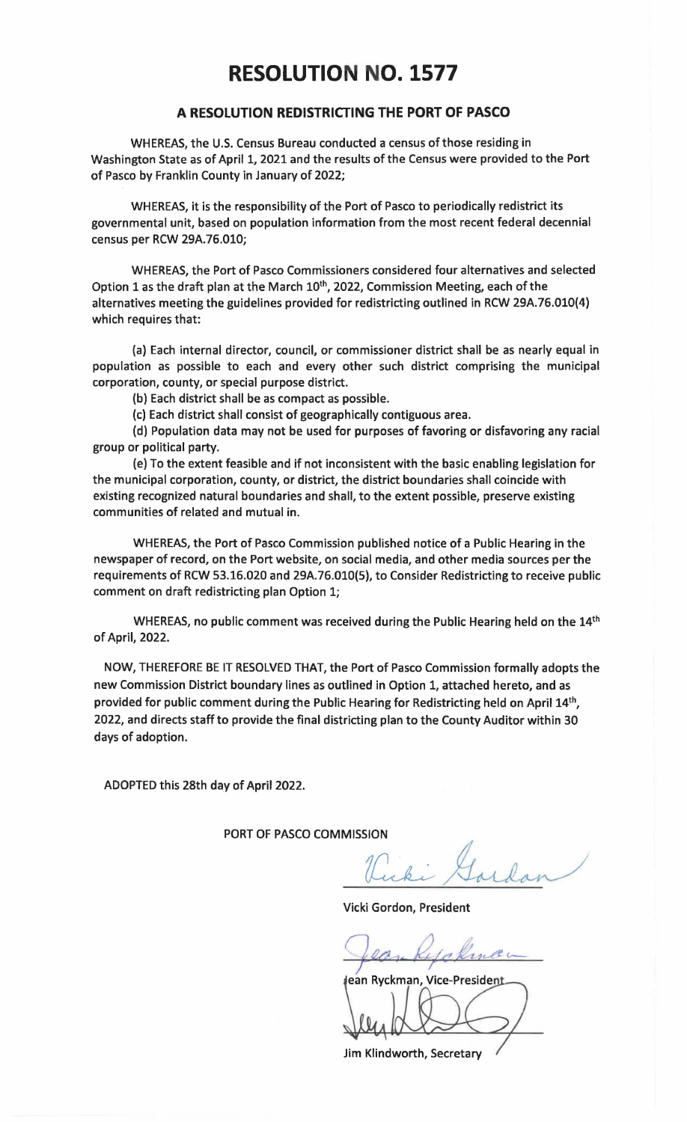## **RESOLUTION NO. 1577**

## **A RESOLUTION REDISTRICTING THE PORT OF PASCO**

WHEREAS, the U.S. Census Bureau conducted a census of those residing in Washington State as of April 1, 2021 and the results of the Census were provided to the Port of Pasco by Franklin County in January of 2022;

WHEREAS, it is the responsibility of the Port of Pasco to periodically redistrict its governmental unit, based on population information from the most recent federal decennial census per RCW 29A.76.010;

WHEREAS, the Port of Pasco Commissioners considered four alternatives and selected Option 1 as the draft plan at the March 10<sup>th</sup>, 2022, Commission Meeting, each of the alternatives meeting the guidelines provided for redistricting outlined in RCW 29A.76.010(4) which requires that:

(a) Each internal director, council, or commissioner district shall be as nearly equal in population as possible to each and every other such district comprising the municipal corporation, county, or special purpose district.

(b) Each district shall be as compact as possible.

(c) Each district shall consist of geographically contiguous area.

(d) Population data may not be used for purposes of favoring or disfavoring any racial group or political party.

(e) To the extent feasible and if not inconsistent with the basic enabling legislation for the municipal corporation, county, or district, the district boundaries shall coincide with existing recognized natural boundaries and shall, to the extent possible, preserve existing communities of related and mutual in.

WHEREAS, the Port of Pasco Commission published notice of a Public Hearing in the newspaper of record, on the Port website, on social media, and other media sources per the requirements of RCW 53.16.020 and 29A.76.010(5), to Consider Redistricting to receive public comment on draft redistricting plan Option 1;

WHEREAS, no public comment was received during the Public Hearing held on the 14<sup>th</sup> of April, 2022.

NOW, THEREFORE BE IT RESOLVED THAT, the Port of Pasco Commission formally adopts the new Commission District boundary lines as outlined in Option 1, attached hereto, and as provided for public comment during the Public Hearing for Redistricting held on April 14th, 2022, and directs staff to provide the final districting plan to the County Auditor within 30 days of adoption.

ADOPTED this 28th day of April 2022.

PORT OF PASCO COMMISSION

Miki Gardan

Vicki Gordon, President

ean Ryckman, Vice-President

Jim Klindworth, Secretary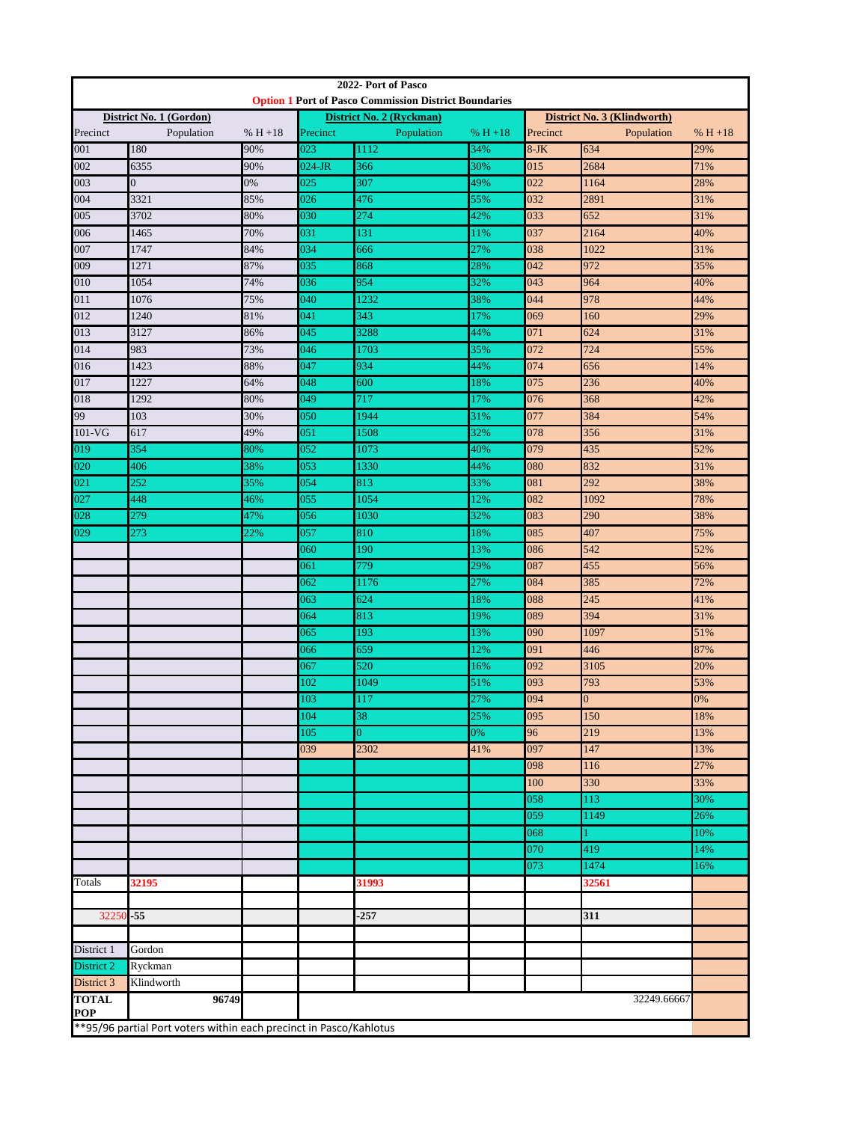| 2022- Port of Pasco                                                |                |     |                                                                                          |                |           |                                      |                |            |
|--------------------------------------------------------------------|----------------|-----|------------------------------------------------------------------------------------------|----------------|-----------|--------------------------------------|----------------|------------|
|                                                                    |                |     | <b>Option 1 Port of Pasco Commission District Boundaries</b><br>District No. 2 (Ryckman) |                |           | District No. 3 (Klindworth)          |                |            |
| District No. 1 (Gordon)<br>$% H + 18$<br>Precinct<br>Population    |                |     | Population<br>Precinct<br>$% H + 18$                                                     |                |           | Precinct<br>Population<br>$% H + 18$ |                |            |
| 001                                                                | 180            | 90% | 023                                                                                      | 1112           | 34%       | $8-JK$                               | 634            | 29%        |
| 002                                                                | 6355           | 90% | 024-JR                                                                                   | 366            | 30%       | 015                                  | 2684           | 71%        |
| 003                                                                | $\overline{0}$ | 0%  | 025                                                                                      | 307            | 49%       | 022                                  | 1164           | 28%        |
| 004                                                                | 3321           | 85% | 026                                                                                      | 476            | 55%       | 032                                  | 2891           | 31%        |
| 005                                                                | 3702           | 80% | 030                                                                                      | 274            | 42%       | 033                                  | 652            | 31%        |
| 006                                                                | 1465           | 70% | 031                                                                                      | 131            | 11%       | 037                                  | 2164           | 40%        |
| 007                                                                | 1747           | 84% | 034                                                                                      | 666            | 27%       | 038                                  | 1022           | 31%        |
| 009                                                                | 1271           | 87% | 035                                                                                      | 868            | 28%       | 042                                  | 972            | 35%        |
| 010                                                                | 1054           | 74% | 036                                                                                      | 954            | 32%       | 043                                  | 964            | 40%        |
| 011                                                                | 1076           | 75% | 040                                                                                      | 1232           | 38%       | 044                                  | 978            | 44%        |
| 012                                                                | 1240           | 81% | 041                                                                                      | 343            | 17%       | 069                                  | 160            | 29%        |
| 013                                                                | 3127           | 86% | 045                                                                                      | 3288           | 44%       | 071                                  | 624            | 31%        |
| 014                                                                | 983            | 73% | 046                                                                                      | 1703           | 35%       | 072                                  | 724            | 55%        |
| 016                                                                | 1423           | 88% | 047                                                                                      | 934            | 44%       | 074                                  | 656            | 14%        |
| 017                                                                | 1227           | 64% | 048                                                                                      | 600            | 18%       | 075                                  | 236            | 40%        |
| 018                                                                | 1292           | 80% | 049                                                                                      | 717            | 17%       | 076                                  | 368            | 42%        |
| 99                                                                 | 103            | 30% | 050                                                                                      | 1944           | 31%       | 077                                  | 384            | 54%        |
| $101$ -VG                                                          | 617            | 49% | 051                                                                                      | 1508           | 32%       | 078                                  | 356            | 31%        |
| 019                                                                | 354            | 80% | 052                                                                                      | 1073           | 40%       | 079                                  | 435            | 52%        |
| 020                                                                | 406            | 38% | 053                                                                                      | 1330           | 44%       | 080                                  | 832            | 31%        |
| 021                                                                | 252            | 35% | 054                                                                                      | 813            | 33%       | 081                                  | 292            | 38%        |
| 027                                                                | 448            | 46% | 055                                                                                      | 1054           | 12%       | 082                                  | 1092           | 78%        |
| 028                                                                | 279            | 47% | 056                                                                                      | 1030           | 32%       | 083                                  | 290            | 38%        |
| 029                                                                | 273            | 22% | 057                                                                                      | 810            | 18%       | 085                                  | 407            | 75%        |
|                                                                    |                |     | 060                                                                                      | 190            | 13%       | 086                                  | 542            | 52%        |
|                                                                    |                |     | 061                                                                                      | 779            | 29%       | 087                                  | 455            | 56%        |
|                                                                    |                |     | 062                                                                                      | 1176           | 27%       | 084                                  | 385            | 72%        |
|                                                                    |                |     | 063                                                                                      | 624            | 18%       | 088                                  | 245            | 41%        |
|                                                                    |                |     | 064                                                                                      | 813            | 19%       | 089                                  | 394            | 31%        |
|                                                                    |                |     | 065                                                                                      | 193            | 13%       | 090                                  | 1097           | 51%        |
|                                                                    |                |     | 066                                                                                      | 659            | 12%       | 091                                  | 446            | 87%        |
|                                                                    |                |     | 067                                                                                      | 520            | 16%       | 092                                  | 3105           | 20%        |
|                                                                    |                |     | 102                                                                                      | 1049           | 51%       | 093                                  | 793            | 53%        |
|                                                                    |                |     | 103                                                                                      | 117            | 27%       | 094                                  | $\overline{0}$ | 0%         |
|                                                                    |                |     | 104<br>105                                                                               | 38<br>$\Omega$ | 25%<br>0% | 095<br>96                            | 150<br>219     | 18%        |
|                                                                    |                |     | 039                                                                                      | 2302           | 41%       | 097                                  | 147            | 13%<br>13% |
|                                                                    |                |     |                                                                                          |                |           | 098                                  | 116            | 27%        |
|                                                                    |                |     |                                                                                          |                |           | 100                                  | 330            | 33%        |
|                                                                    |                |     |                                                                                          |                |           | 058                                  | 113            | 30%        |
|                                                                    |                |     |                                                                                          |                |           | 059                                  | 1149           | 26%        |
|                                                                    |                |     |                                                                                          |                |           | 068                                  |                | 10%        |
|                                                                    |                |     |                                                                                          |                |           | 070                                  | 419            | 14%        |
|                                                                    |                |     |                                                                                          |                |           | 073                                  | 1474           | 16%        |
| Totals                                                             | 32195          |     |                                                                                          | 31993          |           |                                      | 32561          |            |
|                                                                    |                |     |                                                                                          |                |           |                                      |                |            |
| 32250-55                                                           |                |     |                                                                                          | $-257$         |           |                                      | 311            |            |
|                                                                    |                |     |                                                                                          |                |           |                                      |                |            |
| District 1                                                         | Gordon         |     |                                                                                          |                |           |                                      |                |            |
| District 2                                                         | Ryckman        |     |                                                                                          |                |           |                                      |                |            |
| District 3                                                         | Klindworth     |     |                                                                                          |                |           |                                      |                |            |
| <b>TOTAL</b>                                                       | 96749          |     |                                                                                          |                |           |                                      | 32249.66667    |            |
| <b>POP</b>                                                         |                |     |                                                                                          |                |           |                                      |                |            |
| **95/96 partial Port voters within each precinct in Pasco/Kahlotus |                |     |                                                                                          |                |           |                                      |                |            |